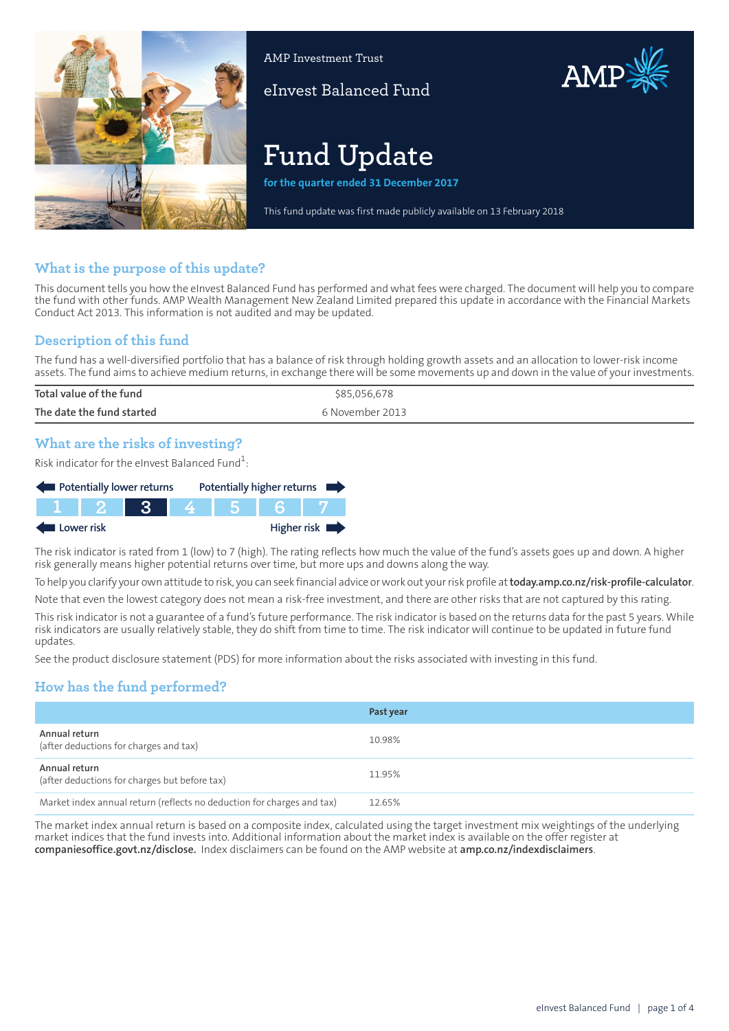

AMP Investment Trust

eInvest Balanced Fund

# **Fund Update**

**for the quarter ended 31 December 2017**

This fund update was first made publicly available on 13 February 2018

AMP

## **What is the purpose of this update?**

This document tells you how the eInvest Balanced Fund has performed and what fees were charged. The document will help you to compare the fund with other funds. AMP Wealth Management New Zealand Limited prepared this update in accordance with the Financial Markets Conduct Act 2013. This information is not audited and may be updated.

## **Description of this fund**

The fund has a well-diversified portfolio that has a balance of risk through holding growth assets and an allocation to lower-risk income assets. The fund aims to achieve medium returns, in exchange there will be some movements up and down in the value of your investments.

| Total value of the fund   | \$85,056,678    |
|---------------------------|-----------------|
| The date the fund started | 6 November 2013 |
|                           |                 |

## **What are the risks of investing?**

Risk indicator for the eInvest Balanced Fund $\rm ^1$ :

| Potentially lower returns |                |       |     | Potentially higher returns |
|---------------------------|----------------|-------|-----|----------------------------|
|                           | <b>TTT 2 1</b> | $-3-$ | 456 |                            |
| Lower risk                |                |       |     | Higher risk $\blacksquare$ |

The risk indicator is rated from 1 (low) to 7 (high). The rating reflects how much the value of the fund's assets goes up and down. A higher risk generally means higher potential returns over time, but more ups and downs along the way.

To help you clarify your own attitude to risk, you can seek financial advice orwork out yourrisk profile at**[today.amp.co.nz/risk-profile-calculator](http://today.amp.co.nz/risk-profile-calculator)**.

Note that even the lowest category does not mean a risk-free investment, and there are other risks that are not captured by this rating.

This risk indicator is not a guarantee of a fund's future performance. The risk indicator is based on the returns data for the past 5 years. While risk indicators are usually relatively stable, they do shift from time to time. The risk indicator will continue to be updated in future fund updates.

See the product disclosure statement (PDS) for more information about the risks associated with investing in this fund.

# **How has the fund performed?**

|                                                                        | Past year |
|------------------------------------------------------------------------|-----------|
| Annual return<br>(after deductions for charges and tax)                | 10.98%    |
| Annual return<br>(after deductions for charges but before tax)         | 11.95%    |
| Market index annual return (reflects no deduction for charges and tax) | 12.65%    |

The market index annual return is based on a composite index, calculated using the target investment mix weightings of the underlying market indices that the fund invests into. Additional information about the market index is available on the offer register at **[companiesoffice.govt.nz/disclose](http://companiesoffice.govt.nz/disclose).** Index disclaimers can be found on the AMP website at **[amp.co.nz/indexdisclaimers](http://amp.co.nz/indexdisclaimers)**.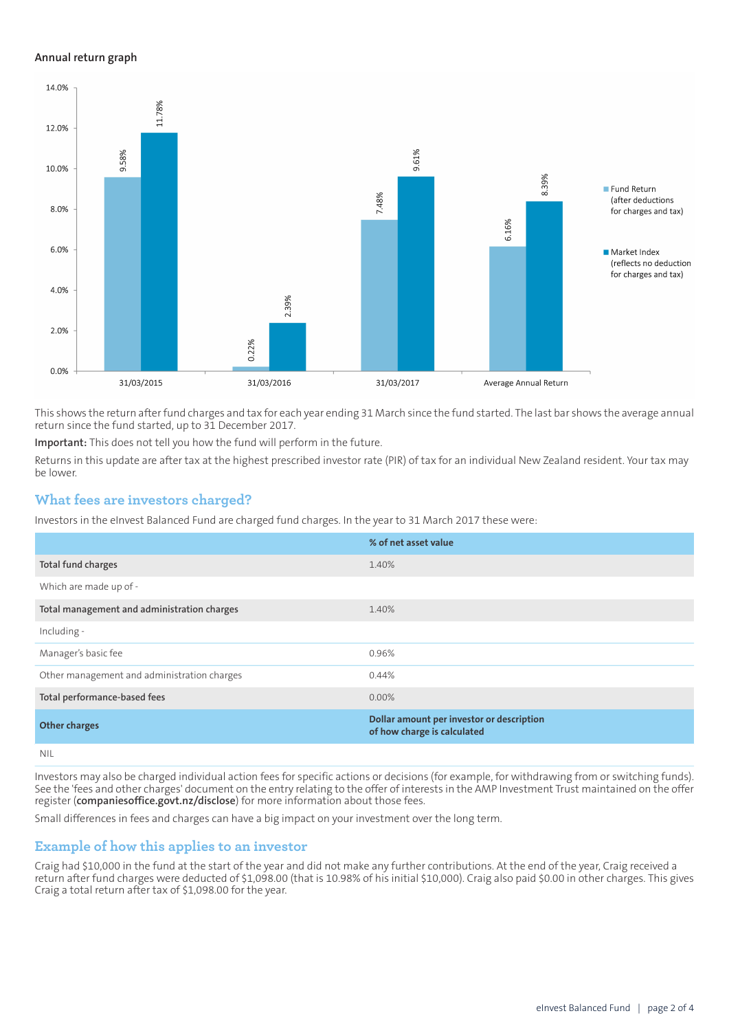#### **Annual return graph**



This shows the return afterfund charges and tax for each year ending 31 March since the fund started. The last bar shows the average annual return since the fund started, up to 31 December 2017.

**Important:** This does not tell you how the fund will perform in the future.

Returns in this update are after tax at the highest prescribed investor rate (PIR) of tax for an individual New Zealand resident. Your tax may be lower.

#### **What fees are investors charged?**

Investors in the eInvest Balanced Fund are charged fund charges. In the year to 31 March 2017 these were:

|                                             | % of net asset value                                                     |
|---------------------------------------------|--------------------------------------------------------------------------|
| Total fund charges                          | 1.40%                                                                    |
| Which are made up of -                      |                                                                          |
| Total management and administration charges | 1.40%                                                                    |
| Including -                                 |                                                                          |
| Manager's basic fee                         | 0.96%                                                                    |
| Other management and administration charges | 0.44%                                                                    |
| Total performance-based fees                | $0.00\%$                                                                 |
| <b>Other charges</b>                        | Dollar amount per investor or description<br>of how charge is calculated |
| NII                                         |                                                                          |

Investors may also be charged individual action fees for specific actions or decisions (for example, for withdrawing from or switching funds). See the 'fees and other charges' document on the entry relating to the offer of interests in the AMP Investment Trust maintained on the offer register (**[companiesoffice.govt.nz/disclose](http://companiesoffice.govt.nz/disclose)**) for more information about those fees.

Small differences in fees and charges can have a big impact on your investment over the long term.

## **Example of how this applies to an investor**

Craig had \$10,000 in the fund at the start of the year and did not make any further contributions. At the end of the year, Craig received a return after fund charges were deducted of \$1,098.00 (that is 10.98% of his initial \$10,000). Craig also paid \$0.00 in other charges. This gives Craig a total return after tax of \$1,098.00 for the year.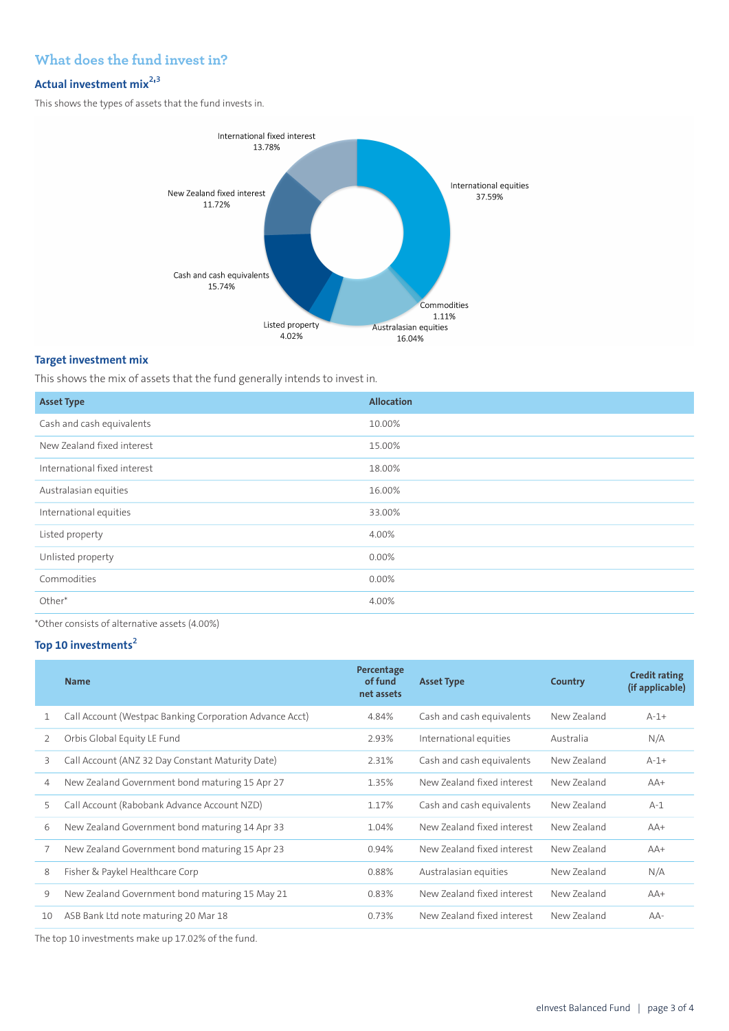# **What does the fund invest in?**

## **Actual investment mix<sup>2</sup> ' 3**

This shows the types of assets that the fund invests in.



#### **Target investment mix**

This shows the mix of assets that the fund generally intends to invest in.

| <b>Asset Type</b>            | <b>Allocation</b> |
|------------------------------|-------------------|
| Cash and cash equivalents    | 10.00%            |
| New Zealand fixed interest   | 15.00%            |
| International fixed interest | 18.00%            |
| Australasian equities        | 16.00%            |
| International equities       | 33.00%            |
| Listed property              | 4.00%             |
| Unlisted property            | 0.00%             |
| Commodities                  | 0.00%             |
| Other*                       | 4.00%             |
|                              |                   |

\*Other consists of alternative assets (4.00%)

## **Top 10 investments<sup>2</sup>**

|    | <b>Name</b>                                             | Percentage<br>of fund<br>net assets | <b>Asset Type</b>          | Country     | <b>Credit rating</b><br>(if applicable) |
|----|---------------------------------------------------------|-------------------------------------|----------------------------|-------------|-----------------------------------------|
|    | Call Account (Westpac Banking Corporation Advance Acct) | 4.84%                               | Cash and cash equivalents  | New Zealand | $A-1+$                                  |
| 2  | Orbis Global Equity LE Fund                             | 2.93%                               | International equities     | Australia   | N/A                                     |
| 3  | Call Account (ANZ 32 Day Constant Maturity Date)        | 2.31%                               | Cash and cash equivalents  | New Zealand | $A-1+$                                  |
| 4  | New Zealand Government bond maturing 15 Apr 27          | 1.35%                               | New Zealand fixed interest | New Zealand | $AA+$                                   |
| 5  | Call Account (Rabobank Advance Account NZD)             | 1.17%                               | Cash and cash equivalents  | New Zealand | $A-1$                                   |
| 6  | New Zealand Government bond maturing 14 Apr 33          | 1.04%                               | New Zealand fixed interest | New Zealand | $AA+$                                   |
| 7  | New Zealand Government bond maturing 15 Apr 23          | 0.94%                               | New Zealand fixed interest | New Zealand | $AA+$                                   |
| 8  | Fisher & Paykel Healthcare Corp                         | 0.88%                               | Australasian equities      | New Zealand | N/A                                     |
| 9  | New Zealand Government bond maturing 15 May 21          | 0.83%                               | New Zealand fixed interest | New Zealand | $AA+$                                   |
| 10 | ASB Bank Ltd note maturing 20 Mar 18                    | 0.73%                               | New Zealand fixed interest | New Zealand | $AA-$                                   |
|    |                                                         |                                     |                            |             |                                         |

The top 10 investments make up 17.02% of the fund.